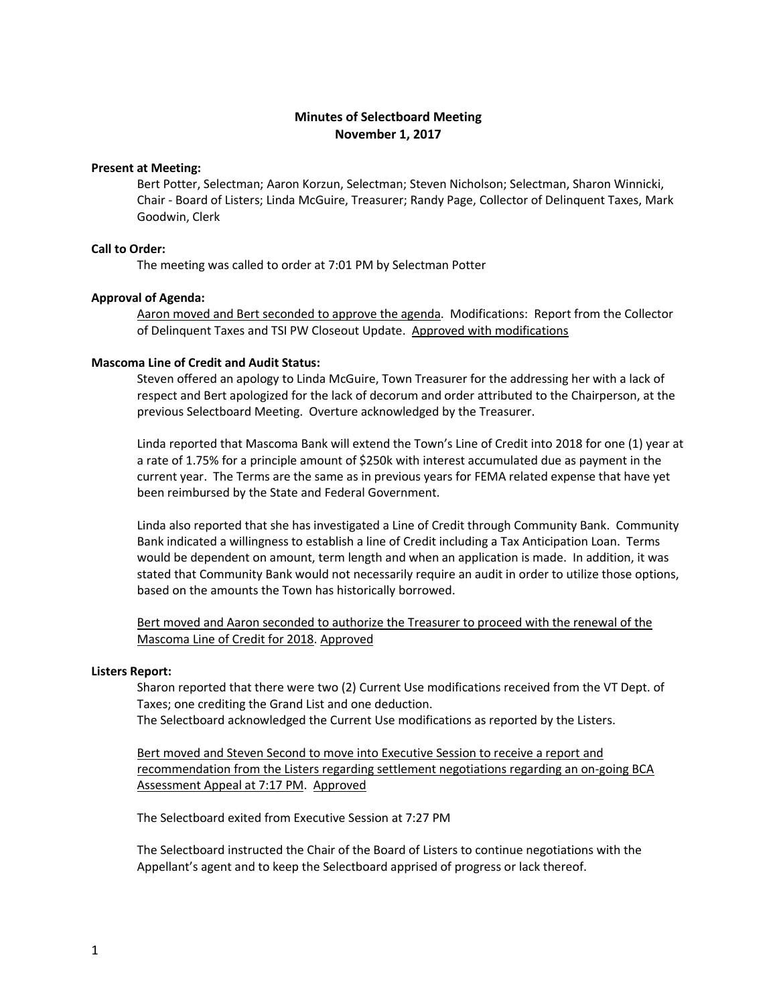# **Minutes of Selectboard Meeting November 1, 2017**

## **Present at Meeting:**

Bert Potter, Selectman; Aaron Korzun, Selectman; Steven Nicholson; Selectman, Sharon Winnicki, Chair - Board of Listers; Linda McGuire, Treasurer; Randy Page, Collector of Delinquent Taxes, Mark Goodwin, Clerk

## **Call to Order:**

The meeting was called to order at 7:01 PM by Selectman Potter

### **Approval of Agenda:**

Aaron moved and Bert seconded to approve the agenda. Modifications: Report from the Collector of Delinquent Taxes and TSI PW Closeout Update. Approved with modifications

## **Mascoma Line of Credit and Audit Status:**

Steven offered an apology to Linda McGuire, Town Treasurer for the addressing her with a lack of respect and Bert apologized for the lack of decorum and order attributed to the Chairperson, at the previous Selectboard Meeting. Overture acknowledged by the Treasurer.

Linda reported that Mascoma Bank will extend the Town's Line of Credit into 2018 for one (1) year at a rate of 1.75% for a principle amount of \$250k with interest accumulated due as payment in the current year. The Terms are the same as in previous years for FEMA related expense that have yet been reimbursed by the State and Federal Government.

Linda also reported that she has investigated a Line of Credit through Community Bank. Community Bank indicated a willingness to establish a line of Credit including a Tax Anticipation Loan. Terms would be dependent on amount, term length and when an application is made. In addition, it was stated that Community Bank would not necessarily require an audit in order to utilize those options, based on the amounts the Town has historically borrowed.

Bert moved and Aaron seconded to authorize the Treasurer to proceed with the renewal of the Mascoma Line of Credit for 2018. Approved

#### **Listers Report:**

Sharon reported that there were two (2) Current Use modifications received from the VT Dept. of Taxes; one crediting the Grand List and one deduction. The Selectboard acknowledged the Current Use modifications as reported by the Listers.

Bert moved and Steven Second to move into Executive Session to receive a report and

recommendation from the Listers regarding settlement negotiations regarding an on-going BCA Assessment Appeal at 7:17 PM. Approved

The Selectboard exited from Executive Session at 7:27 PM

The Selectboard instructed the Chair of the Board of Listers to continue negotiations with the Appellant's agent and to keep the Selectboard apprised of progress or lack thereof.